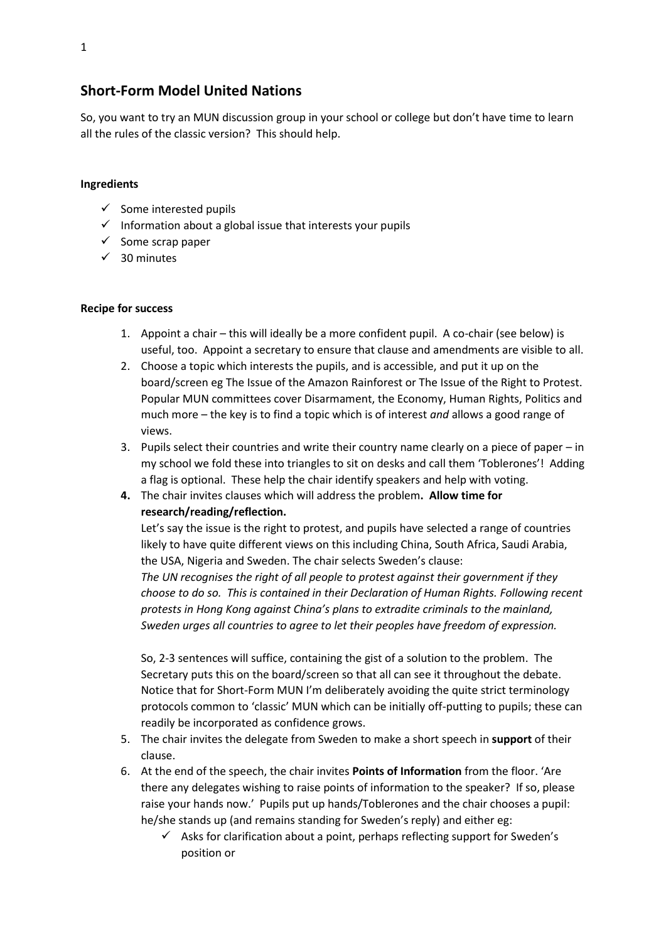## **Short-Form Model United Nations**

So, you want to try an MUN discussion group in your school or college but don't have time to learn all the rules of the classic version? This should help.

## **Ingredients**

- $\checkmark$  Some interested pupils
- $\checkmark$  Information about a global issue that interests your pupils
- $\checkmark$  Some scrap paper
- $\checkmark$  30 minutes

## **Recipe for success**

- 1. Appoint a chair this will ideally be a more confident pupil. A co-chair (see below) is useful, too. Appoint a secretary to ensure that clause and amendments are visible to all.
- 2. Choose a topic which interests the pupils, and is accessible, and put it up on the board/screen eg The Issue of the Amazon Rainforest or The Issue of the Right to Protest. Popular MUN committees cover Disarmament, the Economy, Human Rights, Politics and much more – the key is to find a topic which is of interest *and* allows a good range of views.
- 3. Pupils select their countries and write their country name clearly on a piece of paper in my school we fold these into triangles to sit on desks and call them 'Toblerones'! Adding a flag is optional. These help the chair identify speakers and help with voting.
- **4.** The chair invites clauses which will address the problem**. Allow time for research/reading/reflection.**

Let's say the issue is the right to protest, and pupils have selected a range of countries likely to have quite different views on this including China, South Africa, Saudi Arabia, the USA, Nigeria and Sweden. The chair selects Sweden's clause:

*The UN recognises the right of all people to protest against their government if they choose to do so. This is contained in their Declaration of Human Rights. Following recent protests in Hong Kong against China's plans to extradite criminals to the mainland, Sweden urges all countries to agree to let their peoples have freedom of expression.*

So, 2-3 sentences will suffice, containing the gist of a solution to the problem. The Secretary puts this on the board/screen so that all can see it throughout the debate. Notice that for Short-Form MUN I'm deliberately avoiding the quite strict terminology protocols common to 'classic' MUN which can be initially off-putting to pupils; these can readily be incorporated as confidence grows.

- 5. The chair invites the delegate from Sweden to make a short speech in **support** of their clause.
- 6. At the end of the speech, the chair invites **Points of Information** from the floor. 'Are there any delegates wishing to raise points of information to the speaker? If so, please raise your hands now.' Pupils put up hands/Toblerones and the chair chooses a pupil: he/she stands up (and remains standing for Sweden's reply) and either eg:
	- $\checkmark$  Asks for clarification about a point, perhaps reflecting support for Sweden's position or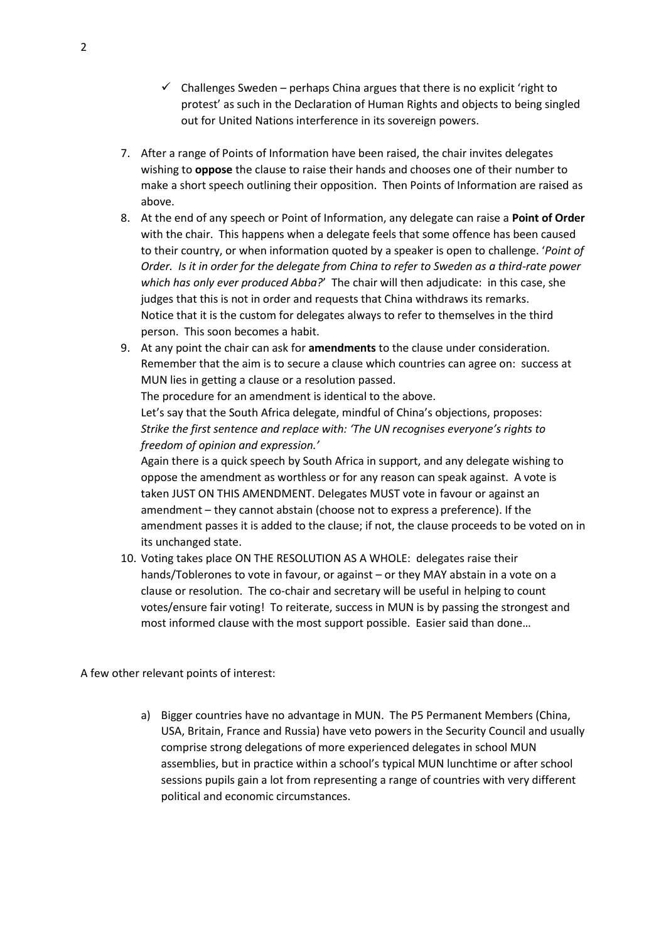- $\checkmark$  Challenges Sweden perhaps China argues that there is no explicit 'right to protest' as such in the Declaration of Human Rights and objects to being singled out for United Nations interference in its sovereign powers.
- 7. After a range of Points of Information have been raised, the chair invites delegates wishing to **oppose** the clause to raise their hands and chooses one of their number to make a short speech outlining their opposition. Then Points of Information are raised as above.
- 8. At the end of any speech or Point of Information, any delegate can raise a **Point of Order** with the chair. This happens when a delegate feels that some offence has been caused to their country, or when information quoted by a speaker is open to challenge. '*Point of Order. Is it in order for the delegate from China to refer to Sweden as a third-rate power which has only ever produced Abba?*' The chair will then adjudicate: in this case, she judges that this is not in order and requests that China withdraws its remarks. Notice that it is the custom for delegates always to refer to themselves in the third person. This soon becomes a habit.
- 9. At any point the chair can ask for **amendments** to the clause under consideration. Remember that the aim is to secure a clause which countries can agree on: success at MUN lies in getting a clause or a resolution passed.

The procedure for an amendment is identical to the above.

Let's say that the South Africa delegate, mindful of China's objections, proposes: *Strike the first sentence and replace with: 'The UN recognises everyone's rights to freedom of opinion and expression.'*

Again there is a quick speech by South Africa in support, and any delegate wishing to oppose the amendment as worthless or for any reason can speak against. A vote is taken JUST ON THIS AMENDMENT. Delegates MUST vote in favour or against an amendment – they cannot abstain (choose not to express a preference). If the amendment passes it is added to the clause; if not, the clause proceeds to be voted on in its unchanged state.

10. Voting takes place ON THE RESOLUTION AS A WHOLE: delegates raise their hands/Toblerones to vote in favour, or against – or they MAY abstain in a vote on a clause or resolution. The co-chair and secretary will be useful in helping to count votes/ensure fair voting! To reiterate, success in MUN is by passing the strongest and most informed clause with the most support possible. Easier said than done…

A few other relevant points of interest:

a) Bigger countries have no advantage in MUN. The P5 Permanent Members (China, USA, Britain, France and Russia) have veto powers in the Security Council and usually comprise strong delegations of more experienced delegates in school MUN assemblies, but in practice within a school's typical MUN lunchtime or after school sessions pupils gain a lot from representing a range of countries with very different political and economic circumstances.